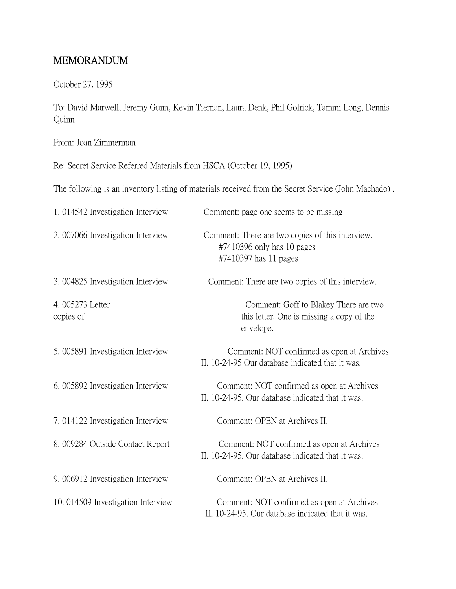## MEMORANDUM

October 27, 1995

To: David Marwell, Jeremy Gunn, Kevin Tiernan, Laura Denk, Phil Golrick, Tammi Long, Dennis Quinn

From: Joan Zimmerman

Re: Secret Service Referred Materials from HSCA (October 19, 1995)

The following is an inventory listing of materials received from the Secret Service (John Machado) .

| 1.014542 Investigation Interview  | Comment: page one seems to be missing                                                                      |
|-----------------------------------|------------------------------------------------------------------------------------------------------------|
| 2.007066 Investigation Interview  | Comment: There are two copies of this interview.<br>$\#7410396$ only has 10 pages<br>#7410397 has 11 pages |
| 3.004825 Investigation Interview  | Comment: There are two copies of this interview.                                                           |
| 4.005273 Letter<br>copies of      | Comment: Goff to Blakey There are two<br>this letter. One is missing a copy of the<br>envelope.            |
| 5.005891 Investigation Interview  | Comment: NOT confirmed as open at Archives<br>II. 10-24-95 Our database indicated that it was.             |
| 6.005892 Investigation Interview  | Comment: NOT confirmed as open at Archives<br>II. 10-24-95. Our database indicated that it was.            |
| 7.014122 Investigation Interview  | Comment: OPEN at Archives II.                                                                              |
| 8.009284 Outside Contact Report   | Comment: NOT confirmed as open at Archives<br>II. 10-24-95. Our database indicated that it was.            |
| 9.006912 Investigation Interview  | Comment: OPEN at Archives II.                                                                              |
| 10.014509 Investigation Interview | Comment: NOT confirmed as open at Archives<br>II. 10-24-95. Our database indicated that it was.            |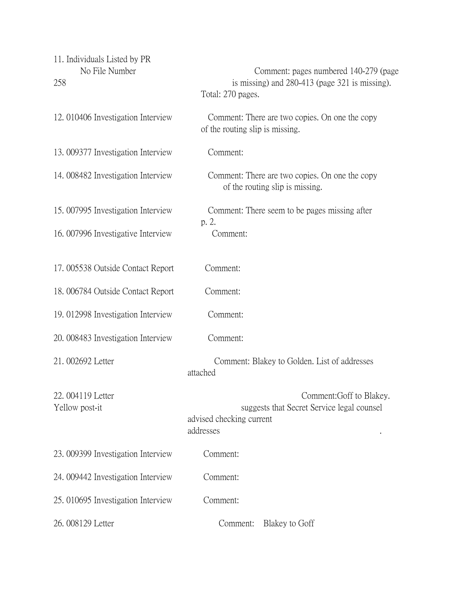| 11. Individuals Listed by PR<br>No File Number<br>258 | Comment: pages numbered 140-279 (page)<br>is missing) and 280-413 (page 321 is missing).<br>Total: 270 pages.   |
|-------------------------------------------------------|-----------------------------------------------------------------------------------------------------------------|
| 12.010406 Investigation Interview                     | Comment: There are two copies. On one the copy<br>of the routing slip is missing.                               |
| 13.009377 Investigation Interview                     | Comment:                                                                                                        |
| 14.008482 Investigation Interview                     | Comment: There are two copies. On one the copy<br>of the routing slip is missing.                               |
| 15.007995 Investigation Interview                     | Comment: There seem to be pages missing after                                                                   |
| 16.007996 Investigative Interview                     | p. 2.<br>Comment:                                                                                               |
| 17.005538 Outside Contact Report                      | Comment:                                                                                                        |
| 18.006784 Outside Contact Report                      | Comment:                                                                                                        |
| 19. 012998 Investigation Interview                    | Comment:                                                                                                        |
| 20. 008483 Investigation Interview                    | Comment:                                                                                                        |
| 21.002692 Letter                                      | Comment: Blakey to Golden. List of addresses<br>attached                                                        |
| 22.004119 Letter<br>Yellow post-it                    | Comment: Goff to Blakey.<br>suggests that Secret Service legal counsel<br>advised checking current<br>addresses |
| 23. 009399 Investigation Interview                    | Comment:                                                                                                        |
| 24. 009442 Investigation Interview                    | Comment:                                                                                                        |
| 25.010695 Investigation Interview                     | Comment:                                                                                                        |
| 26.008129 Letter                                      | Comment:<br>Blakey to Goff                                                                                      |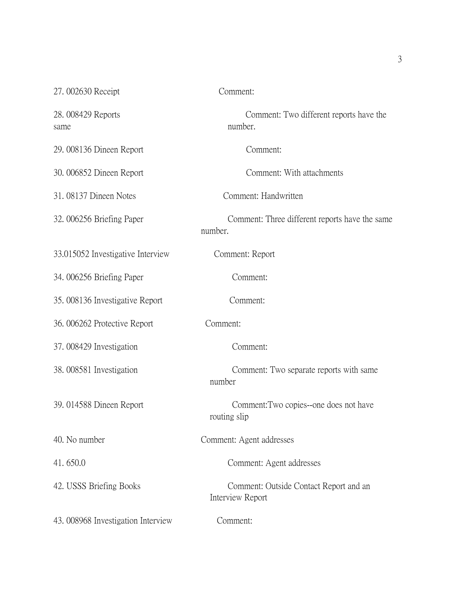| 27.002630 Receipt                 | Comment:                                                   |
|-----------------------------------|------------------------------------------------------------|
| 28.008429 Reports<br>same         | Comment: Two different reports have the<br>number.         |
| 29. 008136 Dineen Report          | Comment:                                                   |
| 30. 006852 Dineen Report          | Comment: With attachments                                  |
| 31.08137 Dineen Notes             | Comment: Handwritten                                       |
| 32.006256 Briefing Paper          | Comment: Three different reports have the same<br>number.  |
| 33.015052 Investigative Interview | Comment: Report                                            |
| 34.006256 Briefing Paper          | Comment:                                                   |
| 35.008136 Investigative Report    | Comment:                                                   |
| 36. 006262 Protective Report      | Comment:                                                   |
| 37.008429 Investigation           | Comment:                                                   |
| 38.008581 Investigation           | Comment: Two separate reports with same<br>number          |
| 39. 014588 Dineen Report          | Comment: Two copies--one does not have<br>routing slip     |
| 40. No number                     | Comment: Agent addresses                                   |
| 41.650.0                          | Comment: Agent addresses                                   |
| 42. USSS Briefing Books           | Comment: Outside Contact Report and an<br>Interview Report |
| 43.008968 Investigation Interview | Comment:                                                   |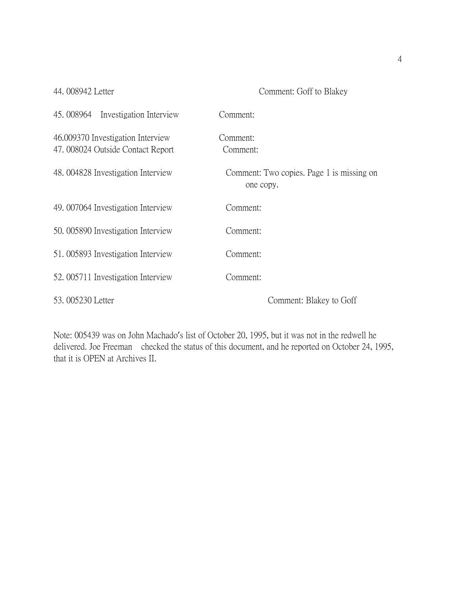44. 008942 Letter Comment: Goff to Blakey

| Investigation Interview<br>45.008964                                  | Comment:                                               |
|-----------------------------------------------------------------------|--------------------------------------------------------|
| 46.009370 Investigation Interview<br>47.008024 Outside Contact Report | Comment:<br>Comment:                                   |
| 48.004828 Investigation Interview                                     | Comment: Two copies. Page 1 is missing on<br>one copy. |
| 49.007064 Investigation Interview                                     | Comment:                                               |
| 50.005890 Investigation Interview                                     | Comment:                                               |
| 51.005893 Investigation Interview                                     | Comment:                                               |
| 52.005711 Investigation Interview                                     | Comment:                                               |
| 53, 005230 Letter                                                     | Comment: Blakey to Goff                                |

Note: 005439 was on John Machado's list of October 20, 1995, but it was not in the redwell he delivered. Joe Freeman checked the status of this document, and he reported on October 24, 1995, that it is OPEN at Archives II.